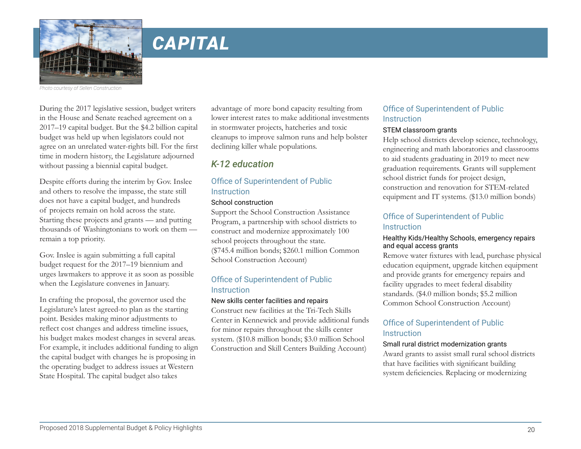

*Photo courtesy of Sellen Construction* 

During the 2017 legislative session, budget writers in the House and Senate reached agreement on a 2017–19 capital budget. But the \$4.2 billion capital budget was held up when legislators could not agree on an unrelated water-rights bill. For the first time in modern history, the Legislature adjourned without passing a biennial capital budget.

Despite efforts during the interim by Gov. Inslee and others to resolve the impasse, the state still does not have a capital budget, and hundreds of projects remain on hold across the state. Starting these projects and grants — and putting thousands of Washingtonians to work on them remain a top priority.

Gov. Inslee is again submitting a full capital budget request for the 2017–19 biennium and urges lawmakers to approve it as soon as possible when the Legislature convenes in January.

In crafting the proposal, the governor used the Legislature's latest agreed-to plan as the starting point. Besides making minor adjustments to reflect cost changes and address timeline issues, his budget makes modest changes in several areas. For example, it includes additional funding to align the capital budget with changes he is proposing in the operating budget to address issues at Western State Hospital. The capital budget also takes

advantage of more bond capacity resulting from lower interest rates to make additional investments in stormwater projects, hatcheries and toxic cleanups to improve salmon runs and help bolster declining killer whale populations.

# *K-12 education*

### Office of Superintendent of Public **Instruction**

### School construction

Support the School Construction Assistance Program, a partnership with school districts to construct and modernize approximately 100 school projects throughout the state. (\$745.4 million bonds; \$260.1 million Common School Construction Account)

### Office of Superintendent of Public Instruction

#### New skills center facilities and repairs

Construct new facilities at the Tri-Tech Skills Center in Kennewick and provide additional funds for minor repairs throughout the skills center system. (\$10.8 million bonds; \$3.0 million School Construction and Skill Centers Building Account)

### Office of Superintendent of Public **Instruction**

#### STEM classroom grants

Help school districts develop science, technology, engineering and math laboratories and classrooms to aid students graduating in 2019 to meet new graduation requirements. Grants will supplement school district funds for project design, construction and renovation for STEM-related equipment and IT systems. (\$13.0 million bonds)

### Office of Superintendent of Public **Instruction**

#### Healthy Kids/Healthy Schools, emergency repairs and equal access grants

Remove water fixtures with lead, purchase physical education equipment, upgrade kitchen equipment and provide grants for emergency repairs and facility upgrades to meet federal disability standards. (\$4.0 million bonds; \$5.2 million Common School Construction Account)

### Office of Superintendent of Public **Instruction**

#### Small rural district modernization grants

Award grants to assist small rural school districts that have facilities with significant building system deficiencies. Replacing or modernizing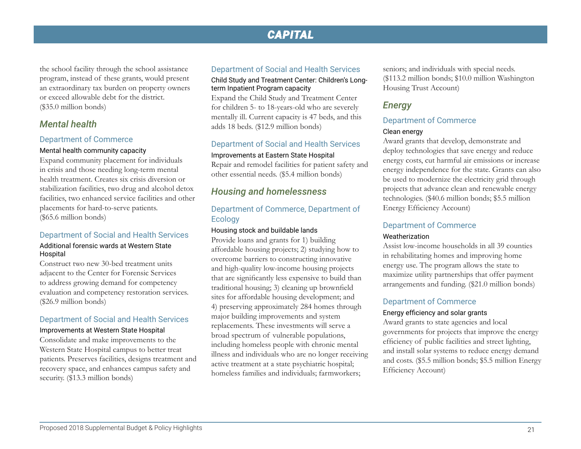the school facility through the school assistance program, instead of these grants, would present an extraordinary tax burden on property owners or exceed allowable debt for the district. (\$35.0 million bonds)

### *Mental health*

#### Department of Commerce

#### Mental health community capacity

Expand community placement for individuals in crisis and those needing long-term mental health treatment. Creates six crisis diversion or stabilization facilities, two drug and alcohol detox facilities, two enhanced service facilities and other placements for hard-to-serve patients. (\$65.6 million bonds)

#### Department of Social and Health Services

#### Additional forensic wards at Western State Hospital

Construct two new 30-bed treatment units adjacent to the Center for Forensic Services to address growing demand for competency evaluation and competency restoration services. (\$26.9 million bonds)

#### Department of Social and Health Services

#### Improvements at Western State Hospital

Consolidate and make improvements to the Western State Hospital campus to better treat patients. Preserves facilities, designs treatment and recovery space, and enhances campus safety and security. (\$13.3 million bonds)

### Department of Social and Health Services

Child Study and Treatment Center: Children's Longterm Inpatient Program capacity

Expand the Child Study and Treatment Center for children 5- to 18-years-old who are severely mentally ill. Current capacity is 47 beds, and this adds 18 beds. (\$12.9 million bonds)

#### Department of Social and Health Services

#### Improvements at Eastern State Hospital

Repair and remodel facilities for patient safety and other essential needs. (\$5.4 million bonds)

### *Housing and homelessness*

### Department of Commerce, Department of Ecology

#### Housing stock and buildable lands

Provide loans and grants for 1) building affordable housing projects; 2) studying how to overcome barriers to constructing innovative and high-quality low-income housing projects that are significantly less expensive to build than traditional housing; 3) cleaning up brownfield sites for affordable housing development; and 4) preserving approximately 284 homes through major building improvements and system replacements. These investments will serve a broad spectrum of vulnerable populations, including homeless people with chronic mental illness and individuals who are no longer receiving active treatment at a state psychiatric hospital; homeless families and individuals; farmworkers;

seniors; and individuals with special needs. (\$113.2 million bonds; \$10.0 million Washington Housing Trust Account)

### *Energy*

#### Department of Commerce

#### Clean energy

Award grants that develop, demonstrate and deploy technologies that save energy and reduce energy costs, cut harmful air emissions or increase energy independence for the state. Grants can also be used to modernize the electricity grid through projects that advance clean and renewable energy technologies. (\$40.6 million bonds; \$5.5 million Energy Efficiency Account)

#### Department of Commerce

#### Weatherization

Assist low-income households in all 39 counties in rehabilitating homes and improving home energy use. The program allows the state to maximize utility partnerships that offer payment arrangements and funding. (\$21.0 million bonds)

#### Department of Commerce

#### Energy efficiency and solar grants

Award grants to state agencies and local governments for projects that improve the energy efficiency of public facilities and street lighting, and install solar systems to reduce energy demand and costs. (\$5.5 million bonds; \$5.5 million Energy Efficiency Account)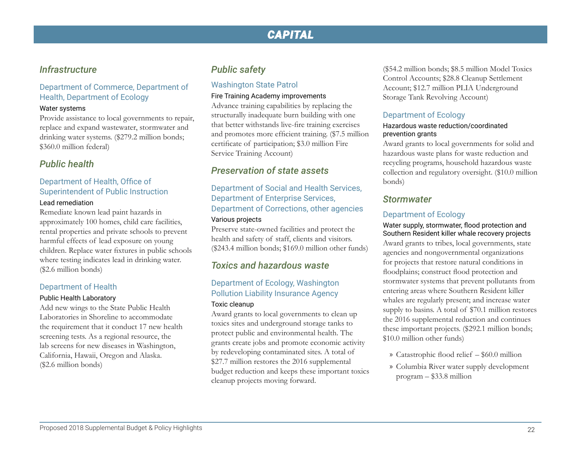### *Infrastructure*

### Department of Commerce, Department of Health, Department of Ecology

#### Water systems

Provide assistance to local governments to repair, replace and expand wastewater, stormwater and drinking water systems. (\$279.2 million bonds; \$360.0 million federal)

### *Public health*

# Department of Health, Office of Superintendent of Public Instruction

#### Lead remediation

Remediate known lead paint hazards in approximately 100 homes, child care facilities, rental properties and private schools to prevent harmful effects of lead exposure on young children. Replace water fixtures in public schools where testing indicates lead in drinking water. (\$2.6 million bonds)

### Department of Health

#### Public Health Laboratory

Add new wings to the State Public Health Laboratories in Shoreline to accommodate the requirement that it conduct 17 new health screening tests. As a regional resource, the lab screens for new diseases in Washington, California, Hawaii, Oregon and Alaska. (\$2.6 million bonds)

### *Public safety*

### Washington State Patrol

#### Fire Training Academy improvements

Advance training capabilities by replacing the structurally inadequate burn building with one that better withstands live-fire training exercises and promotes more efficient training. (\$7.5 million certificate of participation; \$3.0 million Fire Service Training Account)

### *Preservation of state assets*

Department of Social and Health Services, Department of Enterprise Services, Department of Corrections, other agencies

#### Various projects

Preserve state-owned facilities and protect the health and safety of staff, clients and visitors. (\$243.4 million bonds; \$169.0 million other funds)

## *Toxics and hazardous waste*

#### Department of Ecology, Washington Pollution Liability Insurance Agency Toxic cleanup

Award grants to local governments to clean up toxics sites and underground storage tanks to protect public and environmental health. The grants create jobs and promote economic activity by redeveloping contaminated sites. A total of \$27.7 million restores the 2016 supplemental budget reduction and keeps these important toxics cleanup projects moving forward.

(\$54.2 million bonds; \$8.5 million Model Toxics Control Accounts; \$28.8 Cleanup Settlement Account; \$12.7 million PLIA Underground Storage Tank Revolving Account)

### Department of Ecology

#### Hazardous waste reduction/coordinated prevention grants

Award grants to local governments for solid and hazardous waste plans for waste reduction and recycling programs, household hazardous waste collection and regulatory oversight. (\$10.0 million bonds)

### *Stormwater*

### Department of Ecology

#### Water supply, stormwater, flood protection and Southern Resident killer whale recovery projects

Award grants to tribes, local governments, state agencies and nongovernmental organizations for projects that restore natural conditions in floodplains; construct flood protection and stormwater systems that prevent pollutants from entering areas where Southern Resident killer whales are regularly present; and increase water supply to basins. A total of \$70.1 million restores the 2016 supplemental reduction and continues these important projects. (\$292.1 million bonds; \$10.0 million other funds)

- » Catastrophic flood relief \$60.0 million
- » Columbia River water supply development program – \$33.8 million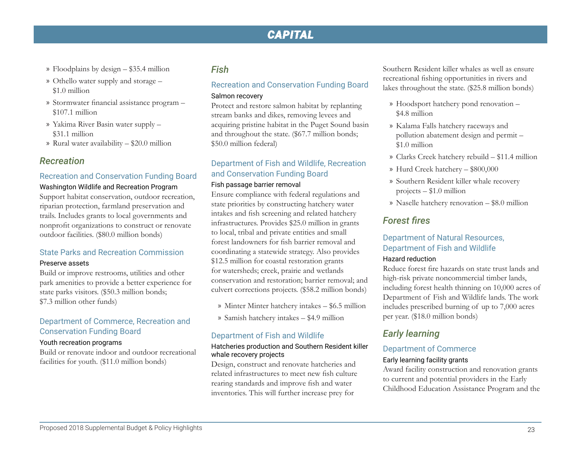- » Floodplains by design \$35.4 million
- » Othello water supply and storage \$1.0 million
- » Stormwater financial assistance program \$107.1 million
- » Yakima River Basin water supply \$31.1 million
- » Rural water availability \$20.0 million

### *Recreation*

#### Recreation and Conservation Funding Board

# Washington Wildlife and Recreation Program

Support habitat conservation, outdoor recreation, riparian protection, farmland preservation and trails. Includes grants to local governments and nonprofit organizations to construct or renovate outdoor facilities. (\$80.0 million bonds)

#### State Parks and Recreation Commission

#### Preserve assets

Build or improve restrooms, utilities and other park amenities to provide a better experience for state parks visitors. (\$50.3 million bonds; \$7.3 million other funds)

#### Department of Commerce, Recreation and Conservation Funding Board

#### Youth recreation programs

Build or renovate indoor and outdoor recreational facilities for youth. (\$11.0 million bonds)

### *Fish*

### Recreation and Conservation Funding Board Salmon recovery

Protect and restore salmon habitat by replanting stream banks and dikes, removing levees and acquiring pristine habitat in the Puget Sound basin and throughout the state. (\$67.7 million bonds; \$50.0 million federal)

### Department of Fish and Wildlife, Recreation and Conservation Funding Board

#### Fish passage barrier removal

Ensure compliance with federal regulations and state priorities by constructing hatchery water intakes and fish screening and related hatchery infrastructures. Provides \$25.0 million in grants to local, tribal and private entities and small forest landowners for fish barrier removal and coordinating a statewide strategy. Also provides \$12.5 million for coastal restoration grants for watersheds; creek, prairie and wetlands conservation and restoration; barrier removal; and culvert corrections projects. (\$58.2 million bonds)

- » Minter Minter hatchery intakes \$6.5 million
- » Samish hatchery intakes \$4.9 million

#### Department of Fish and Wildlife

#### Hatcheries production and Southern Resident killer whale recovery projects

Design, construct and renovate hatcheries and related infrastructures to meet new fish culture rearing standards and improve fish and water inventories. This will further increase prey for

Southern Resident killer whales as well as ensure recreational fishing opportunities in rivers and lakes throughout the state. (\$25.8 million bonds)

- » Hoodsport hatchery pond renovation \$4.8 million
- » Kalama Falls hatchery raceways and pollution abatement design and permit – \$1.0 million
- » Clarks Creek hatchery rebuild \$11.4 million
- » Hurd Creek hatchery \$800,000
- » Southern Resident killer whale recovery projects – \$1.0 million
- » Naselle hatchery renovation \$8.0 million

### *Forest fires*

### Department of Natural Resources, Department of Fish and Wildlife

#### Hazard reduction

Reduce forest fire hazards on state trust lands and high-risk private noncommercial timber lands, including forest health thinning on 10,000 acres of Department of Fish and Wildlife lands. The work includes prescribed burning of up to 7,000 acres per year. (\$18.0 million bonds)

### *Early learning*

#### Department of Commerce

#### Early learning facility grants

Award facility construction and renovation grants to current and potential providers in the Early Childhood Education Assistance Program and the